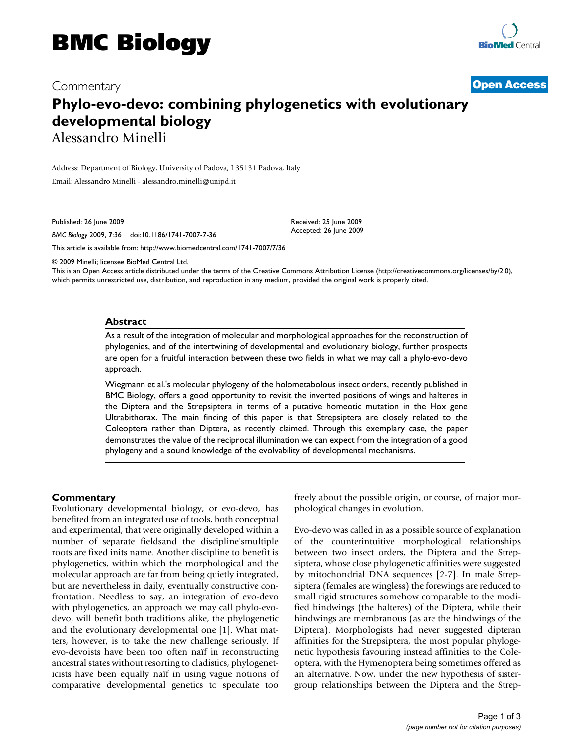# Commentary **[Open Access](http://www.biomedcentral.com/info/about/charter/)**

# **Phylo-evo-devo: combining phylogenetics with evolutionary developmental biology** Alessandro Minelli

Address: Department of Biology, University of Padova, I 35131 Padova, Italy Email: Alessandro Minelli - alessandro.minelli@unipd.it

Published: 26 June 2009

*BMC Biology* 2009, **7**:36 doi:10.1186/1741-7007-7-36

[This article is available from: http://www.biomedcentral.com/1741-7007/7/36](http://www.biomedcentral.com/1741-7007/7/36)

© 2009 Minelli; licensee BioMed Central Ltd.

This is an Open Access article distributed under the terms of the Creative Commons Attribution License [\(http://creativecommons.org/licenses/by/2.0\)](http://creativecommons.org/licenses/by/2.0), which permits unrestricted use, distribution, and reproduction in any medium, provided the original work is properly cited.

Received: 25 June 2009 Accepted: 26 June 2009

#### **Abstract**

As a result of the integration of molecular and morphological approaches for the reconstruction of phylogenies, and of the intertwining of developmental and evolutionary biology, further prospects are open for a fruitful interaction between these two fields in what we may call a phylo-evo-devo approach.

Wiegmann et al.'s molecular phylogeny of the holometabolous insect orders, recently published in BMC Biology, offers a good opportunity to revisit the inverted positions of wings and halteres in the Diptera and the Strepsiptera in terms of a putative homeotic mutation in the Hox gene Ultrabithorax. The main finding of this paper is that Strepsiptera are closely related to the Coleoptera rather than Diptera, as recently claimed. Through this exemplary case, the paper demonstrates the value of the reciprocal illumination we can expect from the integration of a good phylogeny and a sound knowledge of the evolvability of developmental mechanisms.

#### **Commentary**

Evolutionary developmental biology, or evo-devo, has benefited from an integrated use of tools, both conceptual and experimental, that were originally developed within a number of separate fieldsand the discipline'smultiple roots are fixed inits name. Another discipline to benefit is phylogenetics, within which the morphological and the molecular approach are far from being quietly integrated, but are nevertheless in daily, eventually constructive confrontation. Needless to say, an integration of evo-devo with phylogenetics, an approach we may call phylo-evodevo, will benefit both traditions alike, the phylogenetic and the evolutionary developmental one [1]. What matters, however, is to take the new challenge seriously. If evo-devoists have been too often naïf in reconstructing ancestral states without resorting to cladistics, phylogeneticists have been equally naïf in using vague notions of comparative developmental genetics to speculate too freely about the possible origin, or course, of major morphological changes in evolution.

Evo-devo was called in as a possible source of explanation of the counterintuitive morphological relationships between two insect orders, the Diptera and the Strepsiptera, whose close phylogenetic affinities were suggested by mitochondrial DNA sequences [2-7]. In male Strepsiptera (females are wingless) the forewings are reduced to small rigid structures somehow comparable to the modified hindwings (the halteres) of the Diptera, while their hindwings are membranous (as are the hindwings of the Diptera). Morphologists had never suggested dipteran affinities for the Strepsiptera, the most popular phylogenetic hypothesis favouring instead affinities to the Coleoptera, with the Hymenoptera being sometimes offered as an alternative. Now, under the new hypothesis of sistergroup relationships between the Diptera and the Strep-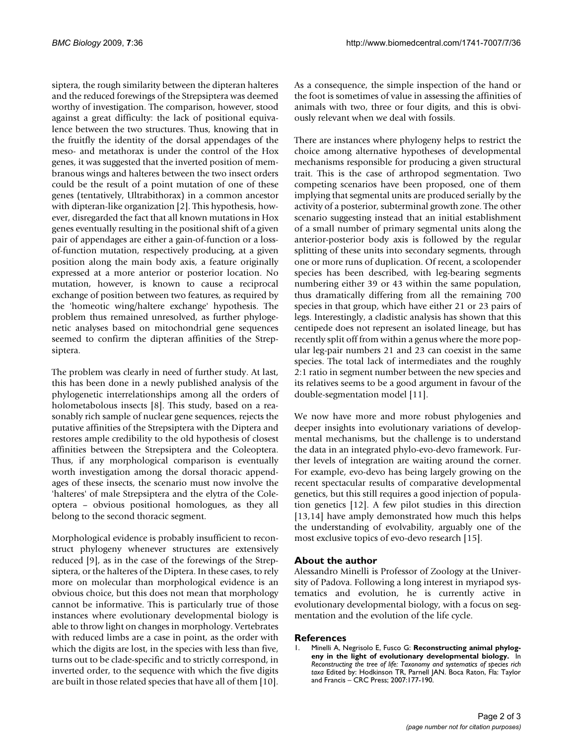siptera, the rough similarity between the dipteran halteres and the reduced forewings of the Strepsiptera was deemed worthy of investigation. The comparison, however, stood against a great difficulty: the lack of positional equivalence between the two structures. Thus, knowing that in the fruitfly the identity of the dorsal appendages of the meso- and metathorax is under the control of the Hox genes, it was suggested that the inverted position of membranous wings and halteres between the two insect orders could be the result of a point mutation of one of these genes (tentatively, Ultrabithorax) in a common ancestor with dipteran-like organization [2]. This hypothesis, however, disregarded the fact that all known mutations in Hox genes eventually resulting in the positional shift of a given pair of appendages are either a gain-of-function or a lossof-function mutation, respectively producing, at a given position along the main body axis, a feature originally expressed at a more anterior or posterior location. No mutation, however, is known to cause a reciprocal exchange of position between two features, as required by the 'homeotic wing/haltere exchange' hypothesis. The problem thus remained unresolved, as further phylogenetic analyses based on mitochondrial gene sequences seemed to confirm the dipteran affinities of the Strepsiptera.

The problem was clearly in need of further study. At last, this has been done in a newly published analysis of the phylogenetic interrelationships among all the orders of holometabolous insects [8]. This study, based on a reasonably rich sample of nuclear gene sequences, rejects the putative affinities of the Strepsiptera with the Diptera and restores ample credibility to the old hypothesis of closest affinities between the Strepsiptera and the Coleoptera. Thus, if any morphological comparison is eventually worth investigation among the dorsal thoracic appendages of these insects, the scenario must now involve the 'halteres' of male Strepsiptera and the elytra of the Coleoptera – obvious positional homologues, as they all belong to the second thoracic segment.

Morphological evidence is probably insufficient to reconstruct phylogeny whenever structures are extensively reduced [9], as in the case of the forewings of the Strepsiptera, or the halteres of the Diptera. In these cases, to rely more on molecular than morphological evidence is an obvious choice, but this does not mean that morphology cannot be informative. This is particularly true of those instances where evolutionary developmental biology is able to throw light on changes in morphology. Vertebrates with reduced limbs are a case in point, as the order with which the digits are lost, in the species with less than five, turns out to be clade-specific and to strictly correspond, in inverted order, to the sequence with which the five digits are built in those related species that have all of them [10].

As a consequence, the simple inspection of the hand or the foot is sometimes of value in assessing the affinities of animals with two, three or four digits, and this is obviously relevant when we deal with fossils.

There are instances where phylogeny helps to restrict the choice among alternative hypotheses of developmental mechanisms responsible for producing a given structural trait. This is the case of arthropod segmentation. Two competing scenarios have been proposed, one of them implying that segmental units are produced serially by the activity of a posterior, subterminal growth zone. The other scenario suggesting instead that an initial establishment of a small number of primary segmental units along the anterior-posterior body axis is followed by the regular splitting of these units into secondary segments, through one or more runs of duplication. Of recent, a scolopender species has been described, with leg-bearing segments numbering either 39 or 43 within the same population, thus dramatically differing from all the remaining 700 species in that group, which have either 21 or 23 pairs of legs. Interestingly, a cladistic analysis has shown that this centipede does not represent an isolated lineage, but has recently split off from within a genus where the more popular leg-pair numbers 21 and 23 can coexist in the same species. The total lack of intermediates and the roughly 2:1 ratio in segment number between the new species and its relatives seems to be a good argument in favour of the double-segmentation model [11].

We now have more and more robust phylogenies and deeper insights into evolutionary variations of developmental mechanisms, but the challenge is to understand the data in an integrated phylo-evo-devo framework. Further levels of integration are waiting around the corner. For example, evo-devo has being largely growing on the recent spectacular results of comparative developmental genetics, but this still requires a good injection of population genetics [12]. A few pilot studies in this direction [13,14] have amply demonstrated how much this helps the understanding of evolvability, arguably one of the most exclusive topics of evo-devo research [15].

## **About the author**

Alessandro Minelli is Professor of Zoology at the University of Padova. Following a long interest in myriapod systematics and evolution, he is currently active in evolutionary developmental biology, with a focus on segmentation and the evolution of the life cycle.

### **References**

1. Minelli A, Negrisolo E, Fusco G: **Reconstructing animal phylogeny in the light of evolutionary developmental biology.** In *Reconstructing the tree of life: Taxonomy and systematics of species rich taxa* Edited by: Hodkinson TR, Parnell JAN. Boca Raton, Fla: Taylor and Francis – CRC Press; 2007:177-190.